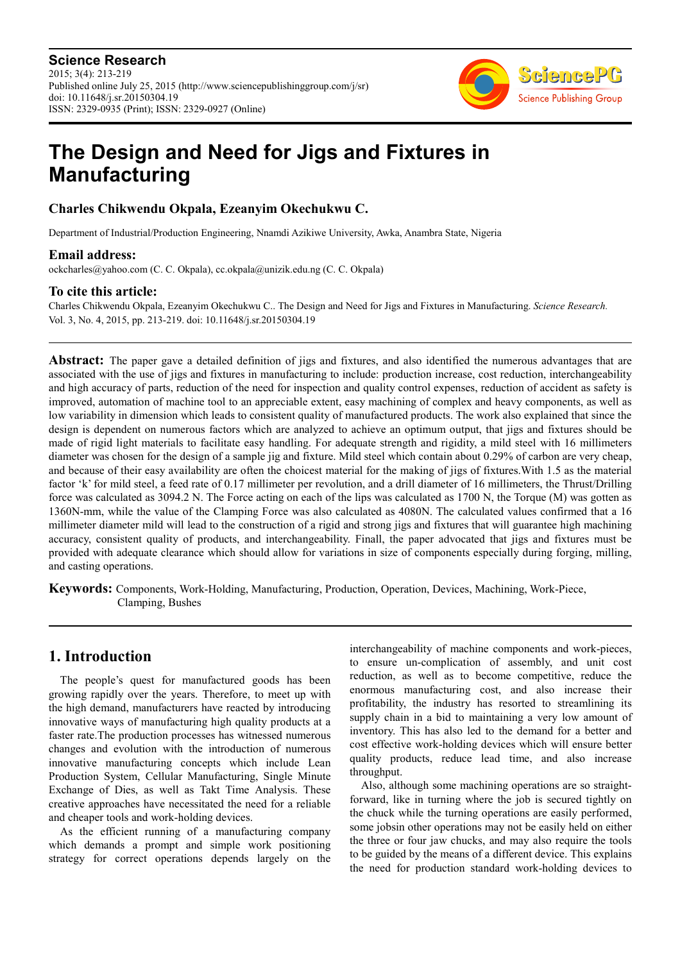**Science Research** 2015; 3(4): 213-219 Published online July 25, 2015 (http://www.sciencepublishinggroup.com/j/sr) doi: 10.11648/j.sr.20150304.19 ISSN: 2329-0935 (Print); ISSN: 2329-0927 (Online)



# **The Design and Need for Jigs and Fixtures in Manufacturing**

### **Charles Chikwendu Okpala, Ezeanyim Okechukwu C.**

Department of Industrial/Production Engineering, Nnamdi Azikiwe University, Awka, Anambra State, Nigeria

### **Email address:**

ockcharles@yahoo.com (C. C. Okpala), cc.okpala@unizik.edu.ng (C. C. Okpala)

### **To cite this article:**

Charles Chikwendu Okpala, Ezeanyim Okechukwu C.. The Design and Need for Jigs and Fixtures in Manufacturing. *Science Research.*  Vol. 3, No. 4, 2015, pp. 213-219. doi: 10.11648/j.sr.20150304.19

**Abstract:** The paper gave a detailed definition of jigs and fixtures, and also identified the numerous advantages that are associated with the use of jigs and fixtures in manufacturing to include: production increase, cost reduction, interchangeability and high accuracy of parts, reduction of the need for inspection and quality control expenses, reduction of accident as safety is improved, automation of machine tool to an appreciable extent, easy machining of complex and heavy components, as well as low variability in dimension which leads to consistent quality of manufactured products. The work also explained that since the design is dependent on numerous factors which are analyzed to achieve an optimum output, that jigs and fixtures should be made of rigid light materials to facilitate easy handling. For adequate strength and rigidity, a mild steel with 16 millimeters diameter was chosen for the design of a sample jig and fixture. Mild steel which contain about 0.29% of carbon are very cheap, and because of their easy availability are often the choicest material for the making of jigs of fixtures.With 1.5 as the material factor 'k' for mild steel, a feed rate of 0.17 millimeter per revolution, and a drill diameter of 16 millimeters, the Thrust/Drilling force was calculated as 3094.2 N. The Force acting on each of the lips was calculated as 1700 N, the Torque (M) was gotten as 1360N-mm, while the value of the Clamping Force was also calculated as 4080N. The calculated values confirmed that a 16 millimeter diameter mild will lead to the construction of a rigid and strong jigs and fixtures that will guarantee high machining accuracy, consistent quality of products, and interchangeability. Finall, the paper advocated that jigs and fixtures must be provided with adequate clearance which should allow for variations in size of components especially during forging, milling, and casting operations.

**Keywords:** Components, Work-Holding, Manufacturing, Production, Operation, Devices, Machining, Work-Piece, Clamping, Bushes

# **1. Introduction**

The people's quest for manufactured goods has been growing rapidly over the years. Therefore, to meet up with the high demand, manufacturers have reacted by introducing innovative ways of manufacturing high quality products at a faster rate.The production processes has witnessed numerous changes and evolution with the introduction of numerous innovative manufacturing concepts which include Lean Production System, Cellular Manufacturing, Single Minute Exchange of Dies, as well as Takt Time Analysis. These creative approaches have necessitated the need for a reliable and cheaper tools and work-holding devices.

As the efficient running of a manufacturing company which demands a prompt and simple work positioning strategy for correct operations depends largely on the

interchangeability of machine components and work-pieces, to ensure un-complication of assembly, and unit cost reduction, as well as to become competitive, reduce the enormous manufacturing cost, and also increase their profitability, the industry has resorted to streamlining its supply chain in a bid to maintaining a very low amount of inventory. This has also led to the demand for a better and cost effective work-holding devices which will ensure better quality products, reduce lead time, and also increase throughput.

Also, although some machining operations are so straightforward, like in turning where the job is secured tightly on the chuck while the turning operations are easily performed, some jobsin other operations may not be easily held on either the three or four jaw chucks, and may also require the tools to be guided by the means of a different device. This explains the need for production standard work-holding devices to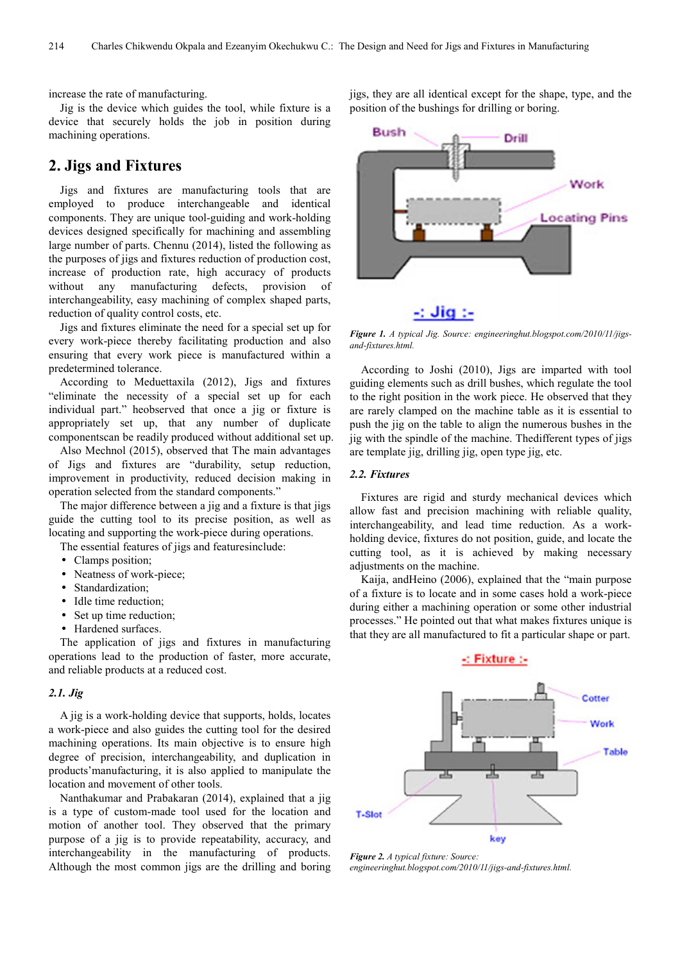increase the rate of manufacturing.

Jig is the device which guides the tool, while fixture is a device that securely holds the job in position during machining operations.

### **2. Jigs and Fixtures**

Jigs and fixtures are manufacturing tools that are employed to produce interchangeable and identical components. They are unique tool-guiding and work-holding devices designed specifically for machining and assembling large number of parts. Chennu (2014), listed the following as the purposes of jigs and fixtures reduction of production cost, increase of production rate, high accuracy of products without any manufacturing defects, provision of interchangeability, easy machining of complex shaped parts, reduction of quality control costs, etc.

Jigs and fixtures eliminate the need for a special set up for every work-piece thereby facilitating production and also ensuring that every work piece is manufactured within a predetermined tolerance.

According to Meduettaxila (2012), Jigs and fixtures "eliminate the necessity of a special set up for each individual part." heobserved that once a jig or fixture is appropriately set up, that any number of duplicate componentscan be readily produced without additional set up.

Also Mechnol (2015), observed that The main advantages of Jigs and fixtures are "durability, setup reduction, improvement in productivity, reduced decision making in operation selected from the standard components."

The major difference between a jig and a fixture is that jigs guide the cutting tool to its precise position, as well as locating and supporting the work-piece during operations.

The essential features of jigs and featuresinclude:

- Clamps position;
- Neatness of work-piece;
- Standardization;
- Idle time reduction;
- Set up time reduction;
- Hardened surfaces.

The application of jigs and fixtures in manufacturing operations lead to the production of faster, more accurate, and reliable products at a reduced cost.

#### *2.1. Jig*

A jig is a work-holding device that supports, holds, locates a work-piece and also guides the cutting tool for the desired machining operations. Its main objective is to ensure high degree of precision, interchangeability, and duplication in products'manufacturing, it is also applied to manipulate the location and movement of other tools.

Nanthakumar and Prabakaran (2014), explained that a jig is a type of custom-made tool used for the location and motion of another tool. They observed that the primary purpose of a jig is to provide repeatability, accuracy, and interchangeability in the manufacturing of products. Although the most common jigs are the drilling and boring

jigs, they are all identical except for the shape, type, and the position of the bushings for drilling or boring.



## $\sim$  Jig  $\sim$

*Figure 1. A typical Jig. Source: engineeringhut.blogspot.com/2010/11/jigsand-fixtures.html.* 

According to Joshi (2010), Jigs are imparted with tool guiding elements such as drill bushes, which regulate the tool to the right position in the work piece. He observed that they are rarely clamped on the machine table as it is essential to push the jig on the table to align the numerous bushes in the jig with the spindle of the machine. Thedifferent types of jigs are template jig, drilling jig, open type jig, etc.

#### *2.2. Fixtures*

Fixtures are rigid and sturdy mechanical devices which allow fast and precision machining with reliable quality, interchangeability, and lead time reduction. As a workholding device, fixtures do not position, guide, and locate the cutting tool, as it is achieved by making necessary adjustments on the machine.

Kaija, andHeino (2006), explained that the "main purpose of a fixture is to locate and in some cases hold a work-piece during either a machining operation or some other industrial processes." He pointed out that what makes fixtures unique is that they are all manufactured to fit a particular shape or part.



*Figure 2. A typical fixture: Source: engineeringhut.blogspot.com/2010/11/jigs-and-fixtures.html.*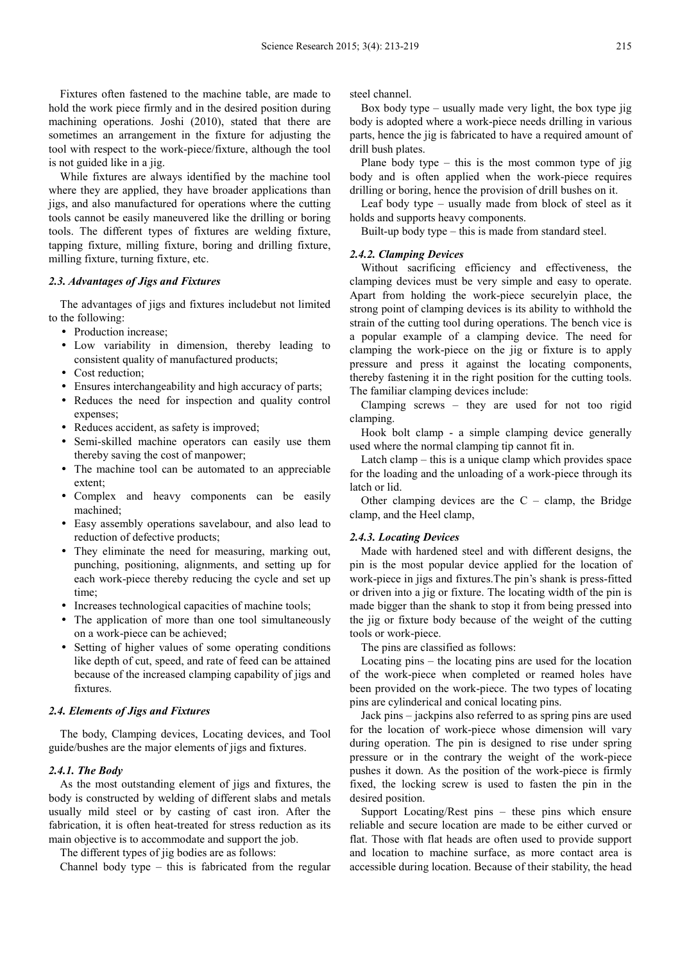Fixtures often fastened to the machine table, are made to hold the work piece firmly and in the desired position during machining operations. Joshi (2010), stated that there are sometimes an arrangement in the fixture for adjusting the tool with respect to the work-piece/fixture, although the tool is not guided like in a jig.

While fixtures are always identified by the machine tool where they are applied, they have broader applications than jigs, and also manufactured for operations where the cutting tools cannot be easily maneuvered like the drilling or boring tools. The different types of fixtures are welding fixture, tapping fixture, milling fixture, boring and drilling fixture, milling fixture, turning fixture, etc.

#### *2.3. Advantages of Jigs and Fixtures*

The advantages of jigs and fixtures includebut not limited to the following:

- Production increase;
- Low variability in dimension, thereby leading to consistent quality of manufactured products;
- Cost reduction;
- Ensures interchangeability and high accuracy of parts;
- Reduces the need for inspection and quality control expenses;
- Reduces accident, as safety is improved;
- Semi-skilled machine operators can easily use them thereby saving the cost of manpower;
- The machine tool can be automated to an appreciable extent;
- Complex and heavy components can be easily machined;
- Easy assembly operations savelabour, and also lead to reduction of defective products;
- They eliminate the need for measuring, marking out, punching, positioning, alignments, and setting up for each work-piece thereby reducing the cycle and set up time;
- Increases technological capacities of machine tools;
- The application of more than one tool simultaneously on a work-piece can be achieved;
- Setting of higher values of some operating conditions like depth of cut, speed, and rate of feed can be attained because of the increased clamping capability of jigs and fixtures.

#### *2.4. Elements of Jigs and Fixtures*

The body, Clamping devices, Locating devices, and Tool guide/bushes are the major elements of jigs and fixtures.

#### *2.4.1. The Body*

As the most outstanding element of jigs and fixtures, the body is constructed by welding of different slabs and metals usually mild steel or by casting of cast iron. After the fabrication, it is often heat-treated for stress reduction as its main objective is to accommodate and support the job.

The different types of jig bodies are as follows:

Channel body type – this is fabricated from the regular

steel channel.

Box body type – usually made very light, the box type jig body is adopted where a work-piece needs drilling in various parts, hence the jig is fabricated to have a required amount of drill bush plates.

Plane body type – this is the most common type of jig body and is often applied when the work-piece requires drilling or boring, hence the provision of drill bushes on it.

Leaf body type – usually made from block of steel as it holds and supports heavy components.

Built-up body type – this is made from standard steel.

#### *2.4.2. Clamping Devices*

Without sacrificing efficiency and effectiveness, the clamping devices must be very simple and easy to operate. Apart from holding the work-piece securelyin place, the strong point of clamping devices is its ability to withhold the strain of the cutting tool during operations. The bench vice is a popular example of a clamping device. The need for clamping the work-piece on the jig or fixture is to apply pressure and press it against the locating components, thereby fastening it in the right position for the cutting tools. The familiar clamping devices include:

Clamping screws – they are used for not too rigid clamping.

Hook bolt clamp - a simple clamping device generally used where the normal clamping tip cannot fit in.

Latch clamp – this is a unique clamp which provides space for the loading and the unloading of a work-piece through its latch or lid.

Other clamping devices are the  $C -$  clamp, the Bridge clamp, and the Heel clamp,

#### *2.4.3. Locating Devices*

Made with hardened steel and with different designs, the pin is the most popular device applied for the location of work-piece in jigs and fixtures.The pin's shank is press-fitted or driven into a jig or fixture. The locating width of the pin is made bigger than the shank to stop it from being pressed into the jig or fixture body because of the weight of the cutting tools or work-piece.

The pins are classified as follows:

Locating pins – the locating pins are used for the location of the work-piece when completed or reamed holes have been provided on the work-piece. The two types of locating pins are cylinderical and conical locating pins.

Jack pins – jackpins also referred to as spring pins are used for the location of work-piece whose dimension will vary during operation. The pin is designed to rise under spring pressure or in the contrary the weight of the work-piece pushes it down. As the position of the work-piece is firmly fixed, the locking screw is used to fasten the pin in the desired position.

Support Locating/Rest pins – these pins which ensure reliable and secure location are made to be either curved or flat. Those with flat heads are often used to provide support and location to machine surface, as more contact area is accessible during location. Because of their stability, the head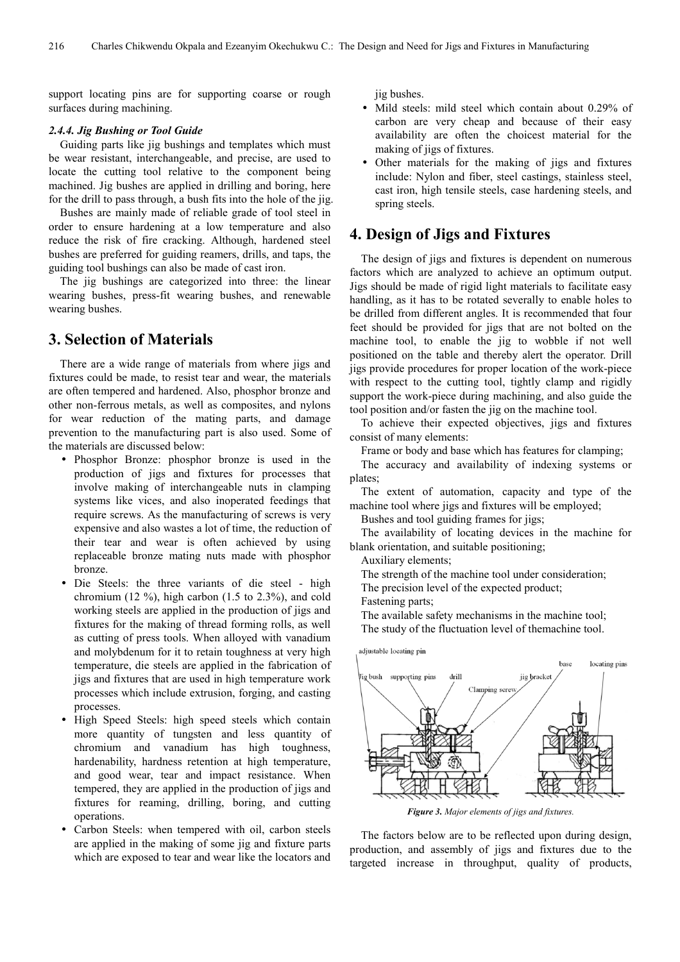support locating pins are for supporting coarse or rough surfaces during machining.

#### *2.4.4. Jig Bushing or Tool Guide*

Guiding parts like jig bushings and templates which must be wear resistant, interchangeable, and precise, are used to locate the cutting tool relative to the component being machined. Jig bushes are applied in drilling and boring, here for the drill to pass through, a bush fits into the hole of the jig.

Bushes are mainly made of reliable grade of tool steel in order to ensure hardening at a low temperature and also reduce the risk of fire cracking. Although, hardened steel bushes are preferred for guiding reamers, drills, and taps, the guiding tool bushings can also be made of cast iron.

The jig bushings are categorized into three: the linear wearing bushes, press-fit wearing bushes, and renewable wearing bushes.

## **3. Selection of Materials**

There are a wide range of materials from where jigs and fixtures could be made, to resist tear and wear, the materials are often tempered and hardened. Also, phosphor bronze and other non-ferrous metals, as well as composites, and nylons for wear reduction of the mating parts, and damage prevention to the manufacturing part is also used. Some of the materials are discussed below:

- Phosphor Bronze: phosphor bronze is used in the production of jigs and fixtures for processes that involve making of interchangeable nuts in clamping systems like vices, and also inoperated feedings that require screws. As the manufacturing of screws is very expensive and also wastes a lot of time, the reduction of their tear and wear is often achieved by using replaceable bronze mating nuts made with phosphor bronze.
- Die Steels: the three variants of die steel high chromium (12 %), high carbon (1.5 to  $2.3\%$ ), and cold working steels are applied in the production of jigs and fixtures for the making of thread forming rolls, as well as cutting of press tools. When alloyed with vanadium and molybdenum for it to retain toughness at very high temperature, die steels are applied in the fabrication of jigs and fixtures that are used in high temperature work processes which include extrusion, forging, and casting processes.
- High Speed Steels: high speed steels which contain more quantity of tungsten and less quantity of chromium and vanadium has high toughness, hardenability, hardness retention at high temperature, and good wear, tear and impact resistance. When tempered, they are applied in the production of jigs and fixtures for reaming, drilling, boring, and cutting operations.
- Carbon Steels: when tempered with oil, carbon steels are applied in the making of some jig and fixture parts which are exposed to tear and wear like the locators and

jig bushes.

- Mild steels: mild steel which contain about 0.29% of carbon are very cheap and because of their easy availability are often the choicest material for the making of jigs of fixtures.
- Other materials for the making of jigs and fixtures include: Nylon and fiber, steel castings, stainless steel, cast iron, high tensile steels, case hardening steels, and spring steels.

### **4. Design of Jigs and Fixtures**

The design of jigs and fixtures is dependent on numerous factors which are analyzed to achieve an optimum output. Jigs should be made of rigid light materials to facilitate easy handling, as it has to be rotated severally to enable holes to be drilled from different angles. It is recommended that four feet should be provided for jigs that are not bolted on the machine tool, to enable the jig to wobble if not well positioned on the table and thereby alert the operator. Drill jigs provide procedures for proper location of the work-piece with respect to the cutting tool, tightly clamp and rigidly support the work-piece during machining, and also guide the tool position and/or fasten the jig on the machine tool.

To achieve their expected objectives, jigs and fixtures consist of many elements:

Frame or body and base which has features for clamping;

The accuracy and availability of indexing systems or plates;

The extent of automation, capacity and type of the machine tool where jigs and fixtures will be employed;

Bushes and tool guiding frames for jigs;

The availability of locating devices in the machine for blank orientation, and suitable positioning;

Auxiliary elements;

The strength of the machine tool under consideration;

The precision level of the expected product;

Fastening parts;

The available safety mechanisms in the machine tool;

The study of the fluctuation level of themachine tool.



*Figure 3. Major elements of jigs and fixtures.* 

The factors below are to be reflected upon during design, production, and assembly of jigs and fixtures due to the targeted increase in throughput, quality of products,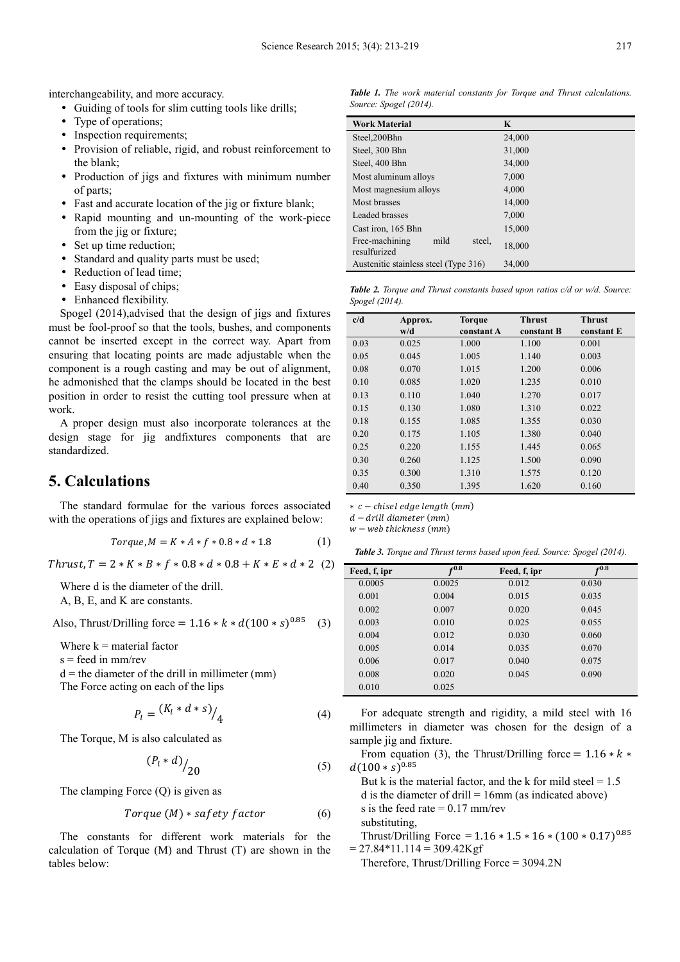interchangeability, and more accuracy.

- Guiding of tools for slim cutting tools like drills;
- Type of operations;
- Inspection requirements:
- Provision of reliable, rigid, and robust reinforcement to the blank;
- Production of jigs and fixtures with minimum number of parts;
- Fast and accurate location of the jig or fixture blank;
- Rapid mounting and un-mounting of the work-piece from the jig or fixture;
- Set up time reduction:
- Standard and quality parts must be used:
- Reduction of lead time:
- Easy disposal of chips;
- Enhanced flexibility.

Spogel (2014),advised that the design of jigs and fixtures must be fool-proof so that the tools, bushes, and components cannot be inserted except in the correct way. Apart from ensuring that locating points are made adjustable when the component is a rough casting and may be out of alignment, he admonished that the clamps should be located in the best position in order to resist the cutting tool pressure when at work.

A proper design must also incorporate tolerances at the design stage for jig andfixtures components that are standardized.

# **5. Calculations**

The standard formulae for the various forces associated with the operations of jigs and fixtures are explained below:

$$
Torque, M = K * A * f * 0.8 * d * 1.8 \tag{1}
$$

 $Thrust, T = 2 * K * B * f * 0.8 * d * 0.8 + K * E * d * 2 (2)$ 

Where d is the diameter of the drill.

A, B, E, and K are constants.

Also, Thrust/Drilling force =  $1.16 * k * d(100 * s)^{0.85}$  (3)

Where  $k =$  material factor

 $s =$  feed in mm/rev

 $d =$  the diameter of the drill in millimeter (mm)

The Force acting on each of the lips

$$
P_l = \frac{(K_l * d * s)}{4} \tag{4}
$$

The Torque, M is also calculated as

$$
\left(P_l * d\right) /_{20} \tag{5}
$$

The clamping Force (Q) is given as

$$
Torque (M) * safety factor \t\t (6)
$$

The constants for different work materials for the calculation of Torque (M) and Thrust (T) are shown in the tables below:

*Table 1. The work material constants for Torque and Thrust calculations. Source: Spogel (2014).* 

| <b>Work Material</b>                             | K      |
|--------------------------------------------------|--------|
| Steel, 200Bhn                                    | 24,000 |
| Steel, 300 Bhn                                   | 31,000 |
| Steel, 400 Bhn                                   | 34,000 |
| Most aluminum alloys                             | 7,000  |
| Most magnesium alloys                            | 4,000  |
| Most brasses                                     | 14,000 |
| Leaded brasses                                   | 7,000  |
| Cast iron, 165 Bhn                               | 15,000 |
| mild<br>Free-machining<br>steel.<br>resulfurized | 18,000 |
| Austenitic stainless steel (Type 316)            | 34,000 |

*Table 2. Torque and Thrust constants based upon ratios c/d or w/d. Source: Spogel (2014).* 

| c/d  | Approx. | <b>Torque</b> | <b>Thrust</b> | <b>Thrust</b> |
|------|---------|---------------|---------------|---------------|
|      | w/d     | constant A    | constant B    | constant E    |
| 0.03 | 0.025   | 1.000         | 1.100         | 0.001         |
| 0.05 | 0.045   | 1.005         | 1.140         | 0.003         |
| 0.08 | 0.070   | 1.015         | 1.200         | 0.006         |
| 0.10 | 0.085   | 1.020         | 1.235         | 0.010         |
| 0.13 | 0.110   | 1.040         | 1.270         | 0.017         |
| 0.15 | 0.130   | 1.080         | 1.310         | 0.022         |
| 0.18 | 0.155   | 1.085         | 1.355         | 0.030         |
| 0.20 | 0.175   | 1.105         | 1.380         | 0.040         |
| 0.25 | 0.220   | 1.155         | 1.445         | 0.065         |
| 0.30 | 0.260   | 1.125         | 1.500         | 0.090         |
| 0.35 | 0.300   | 1.310         | 1.575         | 0.120         |
| 0.40 | 0.350   | 1.395         | 1.620         | 0.160         |

 $* c$  – chisel edge length  $(mm)$ 

 $d - dr$ ill diameter (mm)

 $w - web$  thickness (mm)

*Table 3. Torque and Thrust terms based upon feed. Source: Spogel (2014).* 

| Feed, f, ipr | $f^{0.8}$ | Feed, f, ipr | f(0.8) |  |
|--------------|-----------|--------------|--------|--|
| 0.0005       | 0.0025    | 0.012        | 0.030  |  |
| 0.001        | 0.004     | 0.015        | 0.035  |  |
| 0.002        | 0.007     | 0.020        | 0.045  |  |
| 0.003        | 0.010     | 0.025        | 0.055  |  |
| 0.004        | 0.012     | 0.030        | 0.060  |  |
| 0.005        | 0.014     | 0.035        | 0.070  |  |
| 0.006        | 0.017     | 0.040        | 0.075  |  |
| 0.008        | 0.020     | 0.045        | 0.090  |  |
| 0.010        | 0.025     |              |        |  |

For adequate strength and rigidity, a mild steel with 16 millimeters in diameter was chosen for the design of a sample jig and fixture.

From equation (3), the Thrust/Drilling force =  $1.16 * k *$  $d(100 * s)^{0.85}$ 

But k is the material factor, and the k for mild steel  $= 1.5$ d is the diameter of drill  $= 16$ mm (as indicated above) s is the feed rate  $= 0.17$  mm/rev substituting,

Thrust/Drilling Force =  $1.16 * 1.5 * 16 * (100 * 0.17)^{0.85}$  $= 27.84*11.114 = 309.42Kgf$ 

Therefore, Thrust/Drilling Force = 3094.2N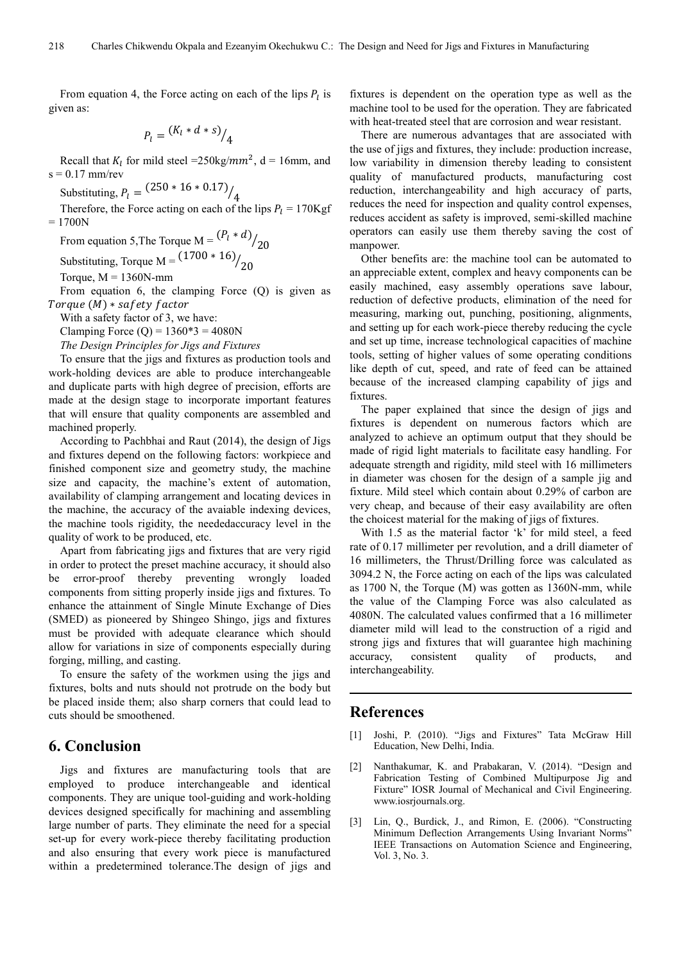From equation 4, the Force acting on each of the lips  $P_l$  is given as:

$$
P_l = \frac{(K_l * d * s)}{4}
$$

Recall that  $K_l$  for mild steel = 250 kg/mm<sup>2</sup>, d = 16 mm, and  $s = 0.17$  mm/rev

Substituting,  $P_l = \frac{(250 * 16 * 0.17)}{4}$ 

Therefore, the Force acting on each of the lips  $P_l = 170 \text{Kgf}$  $= 1700N$ 

From equation 5, The Torque M =  $\frac{(P_l * d)}{20}$ 

Substituting, Torque M =  $\frac{(1700 * 16)}{20}$ 

Torque,  $M = 1360N$ -mm

From equation 6, the clamping Force (Q) is given as Torque (M) \* saf ety factor

With a safety factor of 3, we have:

Clamping Force (Q) =  $1360*3 = 4080N$ 

*The Design Principles for Jigs and Fixtures* 

To ensure that the jigs and fixtures as production tools and work-holding devices are able to produce interchangeable and duplicate parts with high degree of precision, efforts are made at the design stage to incorporate important features that will ensure that quality components are assembled and machined properly.

According to Pachbhai and Raut (2014), the design of Jigs and fixtures depend on the following factors: workpiece and finished component size and geometry study, the machine size and capacity, the machine's extent of automation, availability of clamping arrangement and locating devices in the machine, the accuracy of the avaiable indexing devices, the machine tools rigidity, the neededaccuracy level in the quality of work to be produced, etc.

Apart from fabricating jigs and fixtures that are very rigid in order to protect the preset machine accuracy, it should also be error-proof thereby preventing wrongly loaded components from sitting properly inside jigs and fixtures. To enhance the attainment of Single Minute Exchange of Dies (SMED) as pioneered by Shingeo Shingo, jigs and fixtures must be provided with adequate clearance which should allow for variations in size of components especially during forging, milling, and casting.

To ensure the safety of the workmen using the jigs and fixtures, bolts and nuts should not protrude on the body but be placed inside them; also sharp corners that could lead to cuts should be smoothened.

### **6. Conclusion**

Jigs and fixtures are manufacturing tools that are employed to produce interchangeable and identical components. They are unique tool-guiding and work-holding devices designed specifically for machining and assembling large number of parts. They eliminate the need for a special set-up for every work-piece thereby facilitating production and also ensuring that every work piece is manufactured within a predetermined tolerance.The design of jigs and fixtures is dependent on the operation type as well as the machine tool to be used for the operation. They are fabricated with heat-treated steel that are corrosion and wear resistant.

There are numerous advantages that are associated with the use of jigs and fixtures, they include: production increase, low variability in dimension thereby leading to consistent quality of manufactured products, manufacturing cost reduction, interchangeability and high accuracy of parts, reduces the need for inspection and quality control expenses, reduces accident as safety is improved, semi-skilled machine operators can easily use them thereby saving the cost of manpower.

Other benefits are: the machine tool can be automated to an appreciable extent, complex and heavy components can be easily machined, easy assembly operations save labour, reduction of defective products, elimination of the need for measuring, marking out, punching, positioning, alignments, and setting up for each work-piece thereby reducing the cycle and set up time, increase technological capacities of machine tools, setting of higher values of some operating conditions like depth of cut, speed, and rate of feed can be attained because of the increased clamping capability of jigs and fixtures.

The paper explained that since the design of jigs and fixtures is dependent on numerous factors which are analyzed to achieve an optimum output that they should be made of rigid light materials to facilitate easy handling. For adequate strength and rigidity, mild steel with 16 millimeters in diameter was chosen for the design of a sample jig and fixture. Mild steel which contain about 0.29% of carbon are very cheap, and because of their easy availability are often the choicest material for the making of jigs of fixtures.

With 1.5 as the material factor 'k' for mild steel, a feed rate of 0.17 millimeter per revolution, and a drill diameter of 16 millimeters, the Thrust/Drilling force was calculated as 3094.2 N, the Force acting on each of the lips was calculated as 1700 N, the Torque (M) was gotten as 1360N-mm, while the value of the Clamping Force was also calculated as 4080N. The calculated values confirmed that a 16 millimeter diameter mild will lead to the construction of a rigid and strong jigs and fixtures that will guarantee high machining accuracy, consistent quality of products, and interchangeability.

### **References**

- [1] Joshi, P. (2010). "Jigs and Fixtures" Tata McGraw Hill Education, New Delhi, India.
- [2] Nanthakumar, K. and Prabakaran, V. (2014). "Design and Fabrication Testing of Combined Multipurpose Jig and Fixture" IOSR Journal of Mechanical and Civil Engineering. www.iosrjournals.org.
- [3] Lin, Q., Burdick, J., and Rimon, E. (2006). "Constructing Minimum Deflection Arrangements Using Invariant Norms' IEEE Transactions on Automation Science and Engineering, Vol. 3, No. 3.